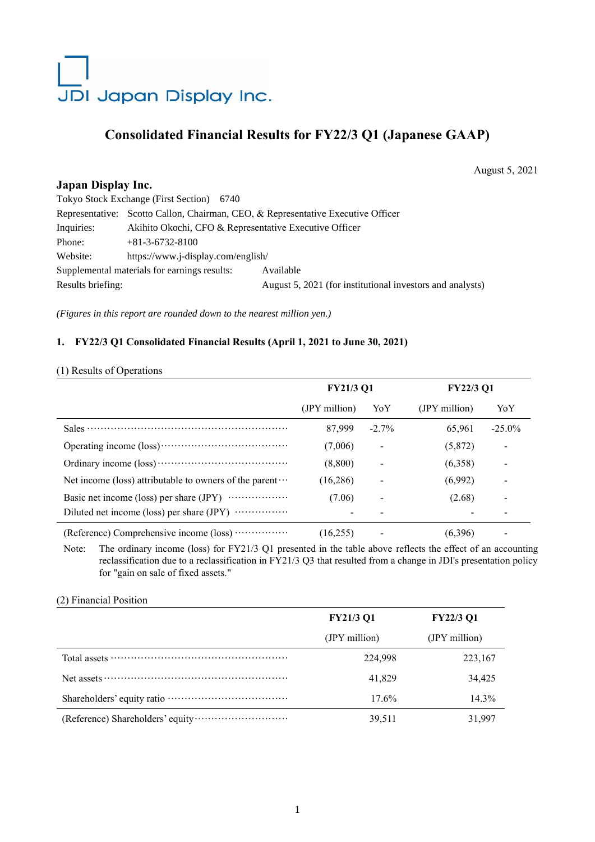# JDI Japan Display Inc.

# **Consolidated Financial Results for FY22/3 Q1 (Japanese GAAP)**

August 5, 2021

# **Japan Display Inc.**

| Tokyo Stock Exchange (First Section) 6740    |                                                                                  |                                                           |  |  |  |  |
|----------------------------------------------|----------------------------------------------------------------------------------|-----------------------------------------------------------|--|--|--|--|
|                                              | Representative: Scotto Callon, Chairman, CEO, & Representative Executive Officer |                                                           |  |  |  |  |
| Inquiries:                                   | Akihito Okochi, CFO & Representative Executive Officer                           |                                                           |  |  |  |  |
| Phone:                                       | $+81-3-6732-8100$                                                                |                                                           |  |  |  |  |
| Website:                                     | https://www.j-display.com/english/                                               |                                                           |  |  |  |  |
| Supplemental materials for earnings results: |                                                                                  | Available                                                 |  |  |  |  |
| Results briefing:                            |                                                                                  | August 5, 2021 (for institutional investors and analysts) |  |  |  |  |
|                                              |                                                                                  |                                                           |  |  |  |  |

*(Figures in this report are rounded down to the nearest million yen.)*

# **1. FY22/3 Q1 Consolidated Financial Results (April 1, 2021 to June 30, 2021)**

#### (1) Results of Operations

|                                                                 | <b>FY21/3 Q1</b> |                          | <b>FY22/3 Q1</b> |                          |
|-----------------------------------------------------------------|------------------|--------------------------|------------------|--------------------------|
|                                                                 | (JPY million)    | YoY                      | (JPY million)    | YoY                      |
|                                                                 | 87,999           | $-2.7\%$                 | 65,961           | $-25.0\%$                |
|                                                                 | (7,006)          |                          | (5,872)          | $\overline{\phantom{a}}$ |
|                                                                 | (8,800)          |                          | (6,358)          | $\overline{\phantom{a}}$ |
| Net income (loss) attributable to owners of the parent $\cdots$ | (16, 286)        | $\overline{\phantom{a}}$ | (6,992)          | $\qquad \qquad$          |
|                                                                 | (7.06)           |                          | (2.68)           |                          |
|                                                                 |                  |                          |                  |                          |
| (Reference) Comprehensive income (loss)                         | (16, 255)        |                          | (6,396)          |                          |

Note: The ordinary income (loss) for FY21/3 Q1 presented in the table above reflects the effect of an accounting reclassification due to a reclassification in FY21/3 Q3 that resulted from a change in JDI's presentation policy for "gain on sale of fixed assets."

#### (2) Financial Position

| <b>FY21/3 Q1</b> | <b>FY22/3 Q1</b> |
|------------------|------------------|
| (JPY million)    | (JPY million)    |
| 224,998          | 223,167          |
| 41,829           | 34,425           |
| $17.6\%$         | 14.3%            |
| 39,511           | 31,997           |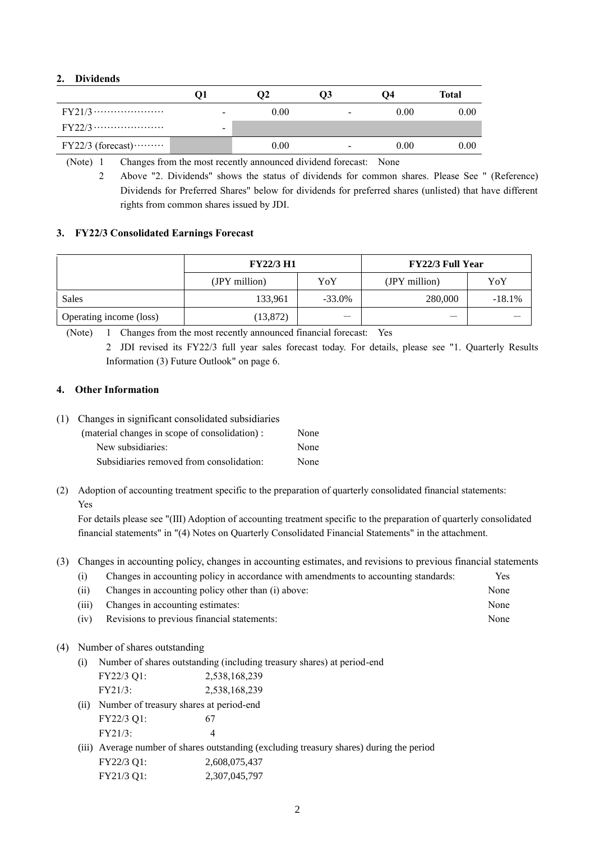#### **2. Dividends**

|                     |   | 02   | U3                       | 04   | Total |
|---------------------|---|------|--------------------------|------|-------|
| $FY21/3$            | - | 0.00 | $\overline{\phantom{a}}$ | 0.00 | 0.00  |
|                     | - |      |                          |      |       |
| $FY22/3$ (forecast) |   | 0.00 | $\overline{\phantom{0}}$ | 0.00 | 0.00  |

(Note) 1 Changes from the most recently announced dividend forecast: None

2 Above "2. Dividends" shows the status of dividends for common shares. Please See " (Reference) Dividends for Preferred Shares" below for dividends for preferred shares (unlisted) that have different rights from common shares issued by JDI.

#### **3. FY22/3 Consolidated Earnings Forecast**

|                         | <b>FY22/3 H1</b> |           | <b>FY22/3 Full Year</b> |          |  |
|-------------------------|------------------|-----------|-------------------------|----------|--|
|                         | (JPY million)    | YoY       | (JPY million)           | YoY      |  |
| Sales                   | 133,961          | $-33.0\%$ | 280,000                 | $-18.1%$ |  |
| Operating income (loss) | (13, 872)        |           | --                      |          |  |

(Note) 1 Changes from the most recently announced financial forecast: Yes

2 JDI revised its FY22/3 full year sales forecast today. For details, please see "1. Quarterly Results Information (3) Future Outlook" on page 6.

#### **4. Other Information**

(1) Changes in significant consolidated subsidiaries

| (material changes in scope of consolidation) : | None |
|------------------------------------------------|------|
| New subsidiaries:                              | None |
| Subsidiaries removed from consolidation:       | None |

(2) Adoption of accounting treatment specific to the preparation of quarterly consolidated financial statements: Yes

For details please see "(Ⅲ) Adoption of accounting treatment specific to the preparation of quarterly consolidated financial statements" in "(4) Notes on Quarterly Consolidated Financial Statements" in the attachment.

#### (3) Changes in accounting policy, changes in accounting estimates, and revisions to previous financial statements

| (i)   | Changes in accounting policy in accordance with amendments to accounting standards: | <b>Yes</b> |
|-------|-------------------------------------------------------------------------------------|------------|
| (ii)  | Changes in accounting policy other than (i) above:                                  | None       |
| (iii) | Changes in accounting estimates:                                                    | None       |

(iv) Revisions to previous financial statements: None

#### (4) Number of shares outstanding

(i) Number of shares outstanding (including treasury shares) at period-end  $FV32/3 \Omega$ : 2,538,168,239

|      | $\Gamma$ $1$ $\angle$ $\angle$ $\Delta$ $\Delta$ $\Gamma$ $\Gamma$ $\Gamma$ $\Gamma$ | 2,990,100,299                                                                            |
|------|--------------------------------------------------------------------------------------|------------------------------------------------------------------------------------------|
|      | FY21/3:                                                                              | 2,538,168,239                                                                            |
| (ii) | Number of treasury shares at period-end                                              |                                                                                          |
|      | FY22/3 Q1:                                                                           |                                                                                          |
|      | FY21/3:                                                                              | Δ                                                                                        |
|      |                                                                                      | (iii) Average number of shares outstanding (excluding treasury shares) during the period |

| FY22/3 Q1: | 2,608,075,437 |
|------------|---------------|
| FY21/3 Q1: | 2,307,045,797 |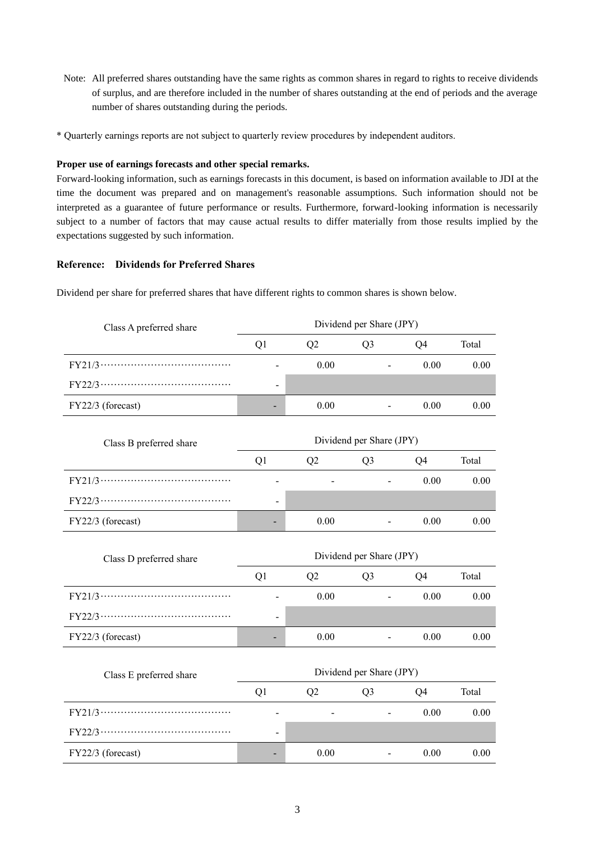- Note: All preferred shares outstanding have the same rights as common shares in regard to rights to receive dividends of surplus, and are therefore included in the number of shares outstanding at the end of periods and the average number of shares outstanding during the periods.
- \* Quarterly earnings reports are not subject to quarterly review procedures by independent auditors.

#### **Proper use of earnings forecasts and other special remarks.**

Forward-looking information, such as earnings forecasts in this document, is based on information available to JDI at the time the document was prepared and on management's reasonable assumptions. Such information should not be interpreted as a guarantee of future performance or results. Furthermore, forward-looking information is necessarily subject to a number of factors that may cause actual results to differ materially from those results implied by the expectations suggested by such information.

#### **Reference: Dividends for Preferred Shares**

Dividend per share for preferred shares that have different rights to common shares is shown below.

| Class A preferred share | Dividend per Share (JPY) |      |                          |                |       |
|-------------------------|--------------------------|------|--------------------------|----------------|-------|
|                         | Q1                       | Q2   | Q <sub>3</sub>           | Q <sub>4</sub> | Total |
|                         |                          | 0.00 |                          | 0.00           | 0.00  |
|                         |                          |      |                          |                |       |
| FY22/3 (forecast)       |                          | 0.00 |                          | 0.00           | 0.00  |
| Class B preferred share |                          |      | Dividend per Share (JPY) |                |       |
|                         | Q1                       | Q2   | Q <sub>3</sub>           | Q4             | Total |
|                         |                          |      |                          | 0.00           | 0.00  |
|                         |                          |      |                          |                |       |
| FY22/3 (forecast)       |                          | 0.00 |                          | 0.00           | 0.00  |
| Class D preferred share | Dividend per Share (JPY) |      |                          |                |       |
|                         | Q1                       | Q2   | Q <sub>3</sub>           | Q4             | Total |
|                         |                          | 0.00 |                          | 0.00           | 0.00  |
|                         |                          |      |                          |                |       |
| FY22/3 (forecast)       |                          | 0.00 |                          | 0.00           | 0.00  |
| Class E preferred share |                          |      | Dividend per Share (JPY) |                |       |
|                         | Q1                       | Q2   | Q <sub>3</sub>           | Q4             | Total |
|                         |                          |      |                          |                |       |
|                         |                          |      |                          | 0.00           | 0.00  |
|                         |                          |      |                          |                |       |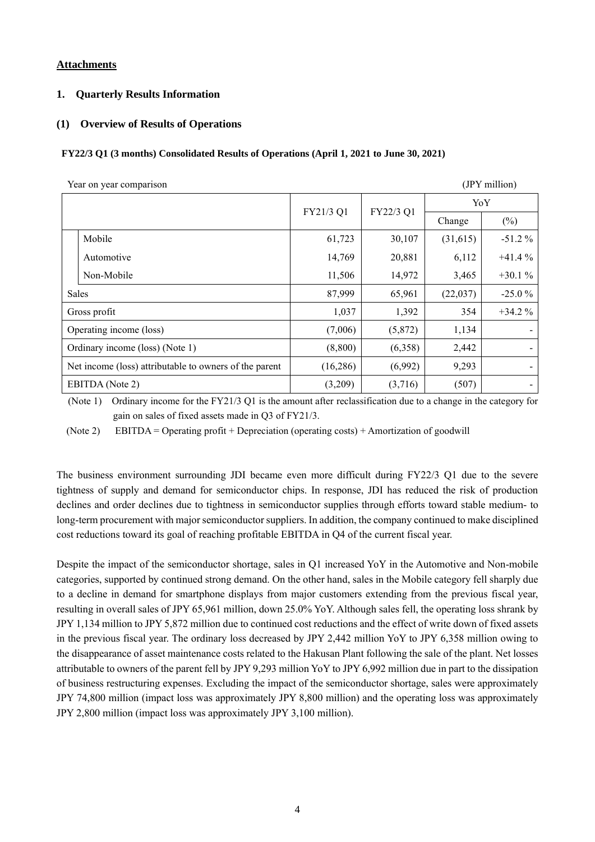#### **Attachments**

#### **1. Quarterly Results Information**

#### **(1) Overview of Results of Operations**

#### **FY22/3 Q1 (3 months) Consolidated Results of Operations (April 1, 2021 to June 30, 2021)**

| (JPY million)<br>Year on year comparison               |                 |           |           |          |          |
|--------------------------------------------------------|-----------------|-----------|-----------|----------|----------|
|                                                        |                 |           |           | YoY      |          |
|                                                        |                 | FY21/3 Q1 | FY22/3 Q1 | Change   | (%)      |
|                                                        | Mobile          | 61,723    | 30,107    | (31,615) | $-51.2%$ |
|                                                        | Automotive      | 14,769    | 20,881    | 6,112    | $+41.4%$ |
|                                                        | Non-Mobile      | 11,506    | 14,972    | 3,465    | $+30.1%$ |
| Sales                                                  |                 | 87,999    | 65,961    | (22,037) | $-25.0%$ |
|                                                        | Gross profit    | 1,037     | 1,392     | 354      | $+34.2%$ |
| Operating income (loss)                                |                 | (7,006)   | (5,872)   | 1,134    |          |
| Ordinary income (loss) (Note 1)                        |                 | (8,800)   | (6,358)   | 2,442    |          |
| Net income (loss) attributable to owners of the parent |                 | (16, 286) | (6,992)   | 9,293    | $\sim$   |
|                                                        | EBITDA (Note 2) | (3,209)   | (3,716)   | (507)    | $\sim$   |

(Note 1) Ordinary income for the FY21/3 Q1 is the amount after reclassification due to a change in the category for gain on sales of fixed assets made in Q3 of FY21/3.

(Note 2) EBITDA = Operating profit + Depreciation (operating costs) + Amortization of goodwill

The business environment surrounding JDI became even more difficult during FY22/3 Q1 due to the severe tightness of supply and demand for semiconductor chips. In response, JDI has reduced the risk of production declines and order declines due to tightness in semiconductor supplies through efforts toward stable medium- to long-term procurement with major semiconductor suppliers. In addition, the company continued to make disciplined cost reductions toward its goal of reaching profitable EBITDA in Q4 of the current fiscal year.

Despite the impact of the semiconductor shortage, sales in Q1 increased YoY in the Automotive and Non-mobile categories, supported by continued strong demand. On the other hand, sales in the Mobile category fell sharply due to a decline in demand for smartphone displays from major customers extending from the previous fiscal year, resulting in overall sales of JPY 65,961 million, down 25.0% YoY. Although sales fell, the operating loss shrank by JPY 1,134 million to JPY 5,872 million due to continued cost reductions and the effect of write down of fixed assets in the previous fiscal year. The ordinary loss decreased by JPY 2,442 million YoY to JPY 6,358 million owing to the disappearance of asset maintenance costs related to the Hakusan Plant following the sale of the plant. Net losses attributable to owners of the parent fell by JPY 9,293 million YoY to JPY 6,992 million due in part to the dissipation of business restructuring expenses. Excluding the impact of the semiconductor shortage, sales were approximately JPY 74,800 million (impact loss was approximately JPY 8,800 million) and the operating loss was approximately JPY 2,800 million (impact loss was approximately JPY 3,100 million).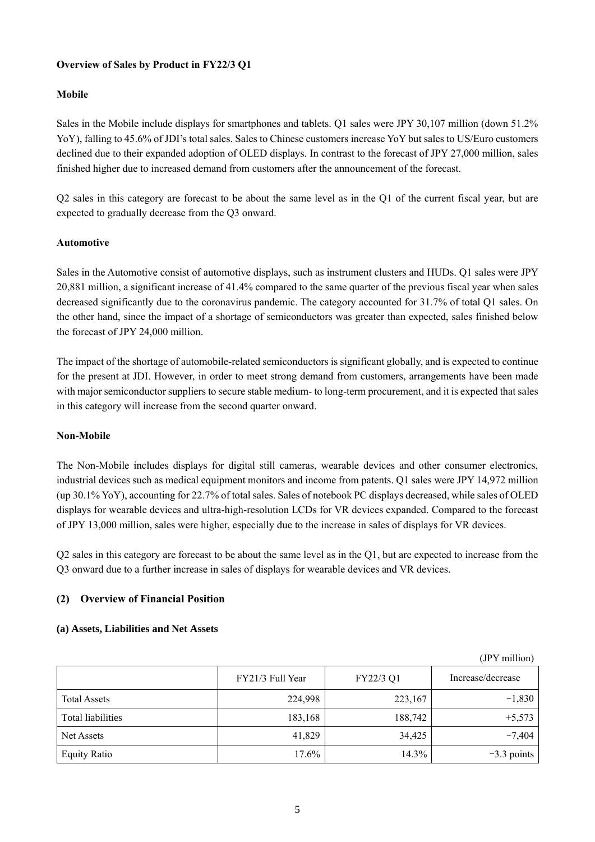## **Overview of Sales by Product in FY22/3 Q1**

## **Mobile**

Sales in the Mobile include displays for smartphones and tablets. Q1 sales were JPY 30,107 million (down 51.2% YoY), falling to 45.6% of JDI's total sales. Sales to Chinese customers increase YoY but sales to US/Euro customers declined due to their expanded adoption of OLED displays. In contrast to the forecast of JPY 27,000 million, sales finished higher due to increased demand from customers after the announcement of the forecast.

Q2 sales in this category are forecast to be about the same level as in the Q1 of the current fiscal year, but are expected to gradually decrease from the Q3 onward.

#### **Automotive**

Sales in the Automotive consist of automotive displays, such as instrument clusters and HUDs. Q1 sales were JPY 20,881 million, a significant increase of 41.4% compared to the same quarter of the previous fiscal year when sales decreased significantly due to the coronavirus pandemic. The category accounted for 31.7% of total Q1 sales. On the other hand, since the impact of a shortage of semiconductors was greater than expected, sales finished below the forecast of JPY 24,000 million.

The impact of the shortage of automobile-related semiconductors is significant globally, and is expected to continue for the present at JDI. However, in order to meet strong demand from customers, arrangements have been made with major semiconductor suppliers to secure stable medium- to long-term procurement, and it is expected that sales in this category will increase from the second quarter onward.

#### **Non-Mobile**

The Non-Mobile includes displays for digital still cameras, wearable devices and other consumer electronics, industrial devices such as medical equipment monitors and income from patents. Q1 sales were JPY 14,972 million (up 30.1% YoY), accounting for 22.7% of total sales. Sales of notebook PC displays decreased, while sales of OLED displays for wearable devices and ultra-high-resolution LCDs for VR devices expanded. Compared to the forecast of JPY 13,000 million, sales were higher, especially due to the increase in sales of displays for VR devices.

Q2 sales in this category are forecast to be about the same level as in the Q1, but are expected to increase from the Q3 onward due to a further increase in sales of displays for wearable devices and VR devices.

# **(2) Overview of Financial Position**

#### **(a) Assets, Liabilities and Net Assets**

|                          |                  |           | $Jf$ i million)   |
|--------------------------|------------------|-----------|-------------------|
|                          | FY21/3 Full Year | FY22/3 Q1 | Increase/decrease |
| <b>Total Assets</b>      | 224,998          | 223,167   | $-1,830$          |
| <b>Total liabilities</b> | 183,168          | 188,742   | $+5,573$          |
| Net Assets               | 41,829           | 34.425    | $-7,404$          |
| <b>Equity Ratio</b>      | 17.6%            | 14.3%     | $-3.3$ points     |

 $(TDX = 11)$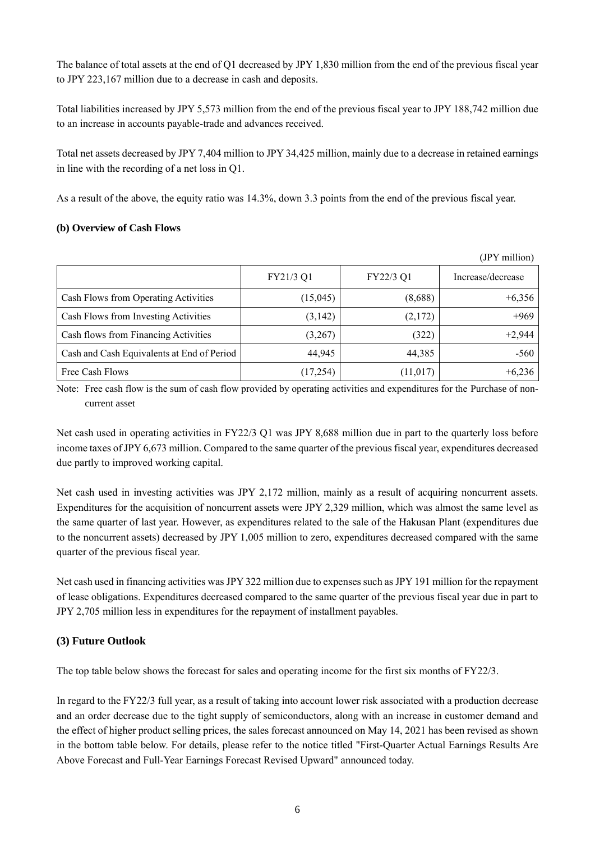The balance of total assets at the end of Q1 decreased by JPY 1,830 million from the end of the previous fiscal year to JPY 223,167 million due to a decrease in cash and deposits.

Total liabilities increased by JPY 5,573 million from the end of the previous fiscal year to JPY 188,742 million due to an increase in accounts payable-trade and advances received.

Total net assets decreased by JPY 7,404 million to JPY 34,425 million, mainly due to a decrease in retained earnings in line with the recording of a net loss in Q1.

As a result of the above, the equity ratio was 14.3%, down 3.3 points from the end of the previous fiscal year.

#### **(b) Overview of Cash Flows**

|                                            |           |           | (JPY million)     |
|--------------------------------------------|-----------|-----------|-------------------|
|                                            | FY21/3 Q1 | FY22/3 Q1 | Increase/decrease |
| Cash Flows from Operating Activities       | (15,045)  | (8,688)   | $+6,356$          |
| Cash Flows from Investing Activities       | (3,142)   | (2,172)   | $+969$            |
| Cash flows from Financing Activities       | (3,267)   | (322)     | $+2,944$          |
| Cash and Cash Equivalents at End of Period | 44,945    | 44,385    | $-560$            |
| Free Cash Flows                            | (17,254)  | (11, 017) | $+6,236$          |

Note: Free cash flow is the sum of cash flow provided by operating activities and expenditures for the Purchase of noncurrent asset

Net cash used in operating activities in FY22/3 Q1 was JPY 8,688 million due in part to the quarterly loss before income taxes of JPY 6,673 million. Compared to the same quarter of the previous fiscal year, expenditures decreased due partly to improved working capital.

Net cash used in investing activities was JPY 2,172 million, mainly as a result of acquiring noncurrent assets. Expenditures for the acquisition of noncurrent assets were JPY 2,329 million, which was almost the same level as the same quarter of last year. However, as expenditures related to the sale of the Hakusan Plant (expenditures due to the noncurrent assets) decreased by JPY 1,005 million to zero, expenditures decreased compared with the same quarter of the previous fiscal year.

Net cash used in financing activities was JPY 322 million due to expenses such as JPY 191 million for the repayment of lease obligations. Expenditures decreased compared to the same quarter of the previous fiscal year due in part to JPY 2,705 million less in expenditures for the repayment of installment payables.

#### **(3) Future Outlook**

The top table below shows the forecast for sales and operating income for the first six months of FY22/3.

In regard to the FY22/3 full year, as a result of taking into account lower risk associated with a production decrease and an order decrease due to the tight supply of semiconductors, along with an increase in customer demand and the effect of higher product selling prices, the sales forecast announced on May 14, 2021 has been revised as shown in the bottom table below. For details, please refer to the notice titled "First-Quarter Actual Earnings Results Are Above Forecast and Full-Year Earnings Forecast Revised Upward" announced today.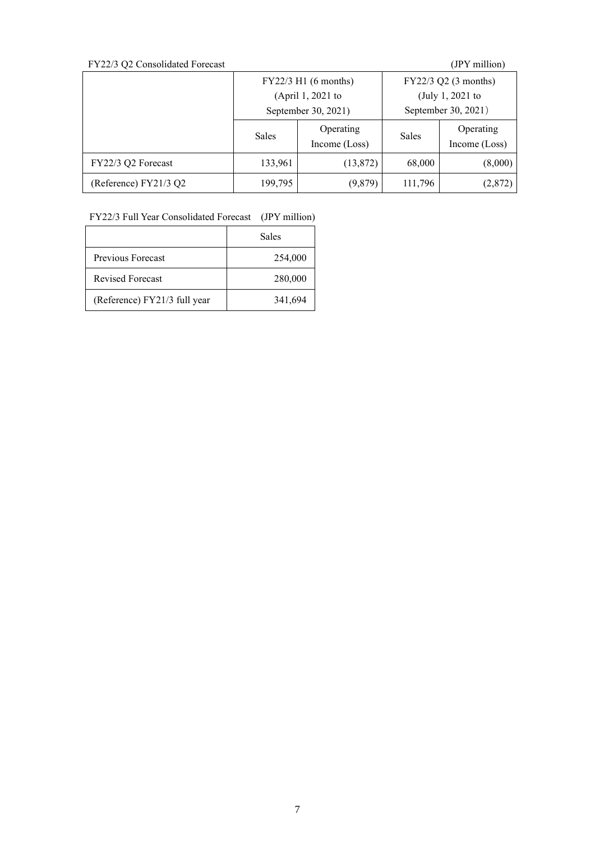| FY22/3 Q2 Consolidated Forecast |                      |                            |                      | (JPY million)              |
|---------------------------------|----------------------|----------------------------|----------------------|----------------------------|
|                                 | FY22/3 H1 (6 months) |                            | FY22/3 Q2 (3 months) |                            |
|                                 | (April 1, 2021 to    |                            | (July 1, 2021 to     |                            |
|                                 | September 30, 2021)  |                            | September 30, 2021)  |                            |
|                                 | <b>Sales</b>         | Operating<br>Income (Loss) | <b>Sales</b>         | Operating<br>Income (Loss) |
| FY22/3 Q2 Forecast              | 133,961              | (13,872)                   | 68,000               | (8,000)                    |
| (Reference) FY21/3 Q2           | 199,795              | (9,879)                    | 111,796              | (2,872)                    |

FY22/3 Full Year Consolidated Forecast (JPY million)

|                              | Sales   |
|------------------------------|---------|
| Previous Forecast            | 254,000 |
| <b>Revised Forecast</b>      | 280,000 |
| (Reference) FY21/3 full year | 341,694 |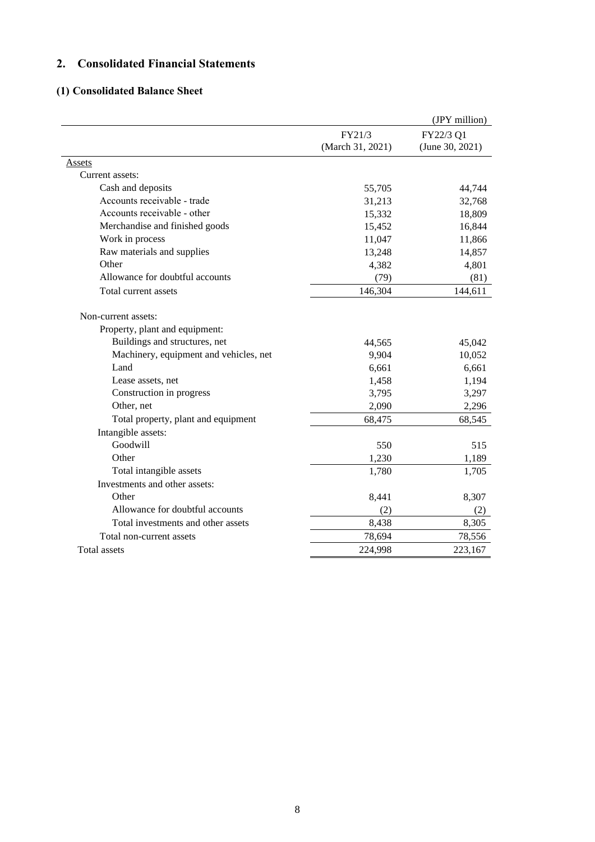# **2. Consolidated Financial Statements**

# **(1) Consolidated Balance Sheet**

|                                        |                  | (JPY million)   |
|----------------------------------------|------------------|-----------------|
|                                        | FY21/3           | FY22/3 Q1       |
|                                        | (March 31, 2021) | (June 30, 2021) |
| <u>Assets</u>                          |                  |                 |
| Current assets:                        |                  |                 |
| Cash and deposits                      | 55,705           | 44,744          |
| Accounts receivable - trade            | 31,213           | 32,768          |
| Accounts receivable - other            | 15,332           | 18,809          |
| Merchandise and finished goods         | 15,452           | 16,844          |
| Work in process                        | 11,047           | 11,866          |
| Raw materials and supplies             | 13,248           | 14,857          |
| Other                                  | 4,382            | 4,801           |
| Allowance for doubtful accounts        | (79)             | (81)            |
| Total current assets                   | 146,304          | 144,611         |
| Non-current assets:                    |                  |                 |
| Property, plant and equipment:         |                  |                 |
| Buildings and structures, net          | 44,565           | 45,042          |
| Machinery, equipment and vehicles, net | 9,904            | 10,052          |
| Land                                   | 6,661            | 6,661           |
| Lease assets, net                      | 1,458            | 1,194           |
| Construction in progress               | 3,795            | 3,297           |
| Other, net                             | 2,090            | 2,296           |
| Total property, plant and equipment    | 68,475           | 68,545          |
| Intangible assets:                     |                  |                 |
| Goodwill                               | 550              | 515             |
| Other                                  | 1,230            | 1,189           |
| Total intangible assets                | 1,780            | 1,705           |
| Investments and other assets:          |                  |                 |
| Other                                  | 8,441            | 8,307           |
| Allowance for doubtful accounts        | (2)              | (2)             |
| Total investments and other assets     | 8,438            | 8,305           |
| Total non-current assets               | 78,694           | 78,556          |
| <b>Total assets</b>                    | 224,998          | 223,167         |
|                                        |                  |                 |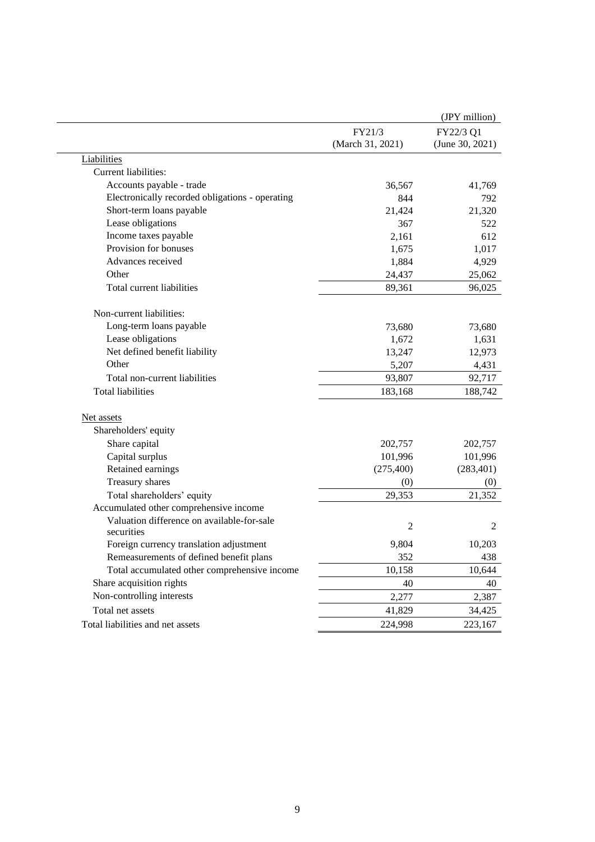|                                                          |                            | (JPY million)                |
|----------------------------------------------------------|----------------------------|------------------------------|
|                                                          | FY21/3<br>(March 31, 2021) | FY22/3 Q1<br>(June 30, 2021) |
| Liabilities                                              |                            |                              |
| Current liabilities:                                     |                            |                              |
| Accounts payable - trade                                 | 36,567                     | 41,769                       |
| Electronically recorded obligations - operating          | 844                        | 792                          |
| Short-term loans payable                                 | 21,424                     | 21,320                       |
| Lease obligations                                        | 367                        | 522                          |
| Income taxes payable                                     | 2,161                      | 612                          |
| Provision for bonuses                                    | 1,675                      | 1,017                        |
| Advances received                                        | 1,884                      | 4,929                        |
| Other                                                    | 24,437                     | 25,062                       |
| Total current liabilities                                | 89,361                     | 96,025                       |
| Non-current liabilities:                                 |                            |                              |
| Long-term loans payable                                  | 73,680                     | 73,680                       |
| Lease obligations                                        | 1,672                      | 1,631                        |
| Net defined benefit liability                            | 13,247                     | 12,973                       |
| Other                                                    | 5,207                      | 4,431                        |
| Total non-current liabilities                            | 93,807                     | 92,717                       |
| <b>Total liabilities</b>                                 | 183,168                    | 188,742                      |
| Net assets                                               |                            |                              |
| Shareholders' equity                                     |                            |                              |
| Share capital                                            | 202,757                    | 202,757                      |
| Capital surplus                                          | 101,996                    | 101,996                      |
| Retained earnings                                        | (275, 400)                 | (283, 401)                   |
| Treasury shares                                          | (0)                        | (0)                          |
| Total shareholders' equity                               | 29,353                     | 21,352                       |
| Accumulated other comprehensive income                   |                            |                              |
| Valuation difference on available-for-sale<br>securities | $\overline{2}$             | 2                            |
| Foreign currency translation adjustment                  | 9,804                      | 10,203                       |
| Remeasurements of defined benefit plans                  | 352                        | 438                          |
| Total accumulated other comprehensive income             | 10,158                     | 10,644                       |
| Share acquisition rights                                 | 40                         | 40                           |
| Non-controlling interests                                | 2,277                      | 2,387                        |
| Total net assets                                         | 41,829                     | 34,425                       |
| Total liabilities and net assets                         | 224,998                    | 223,167                      |
|                                                          |                            |                              |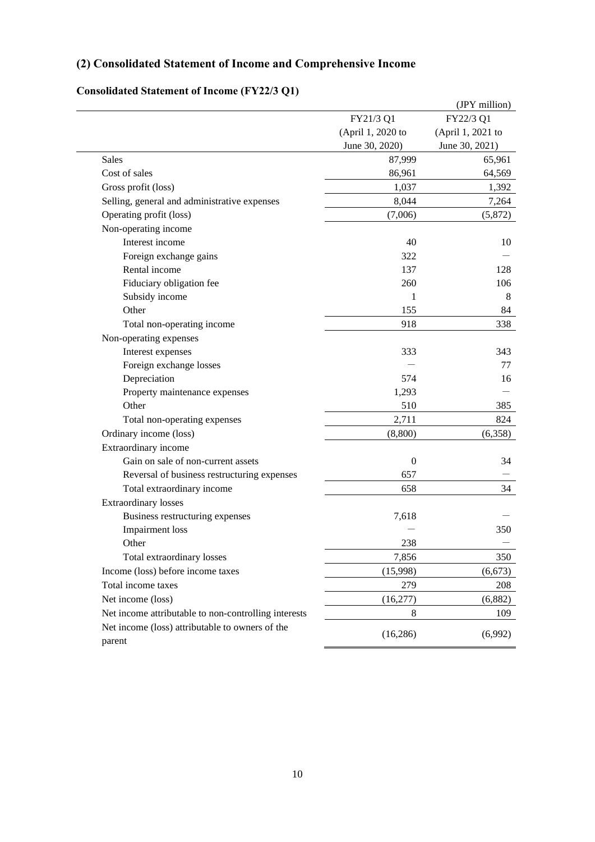# **(2) Consolidated Statement of Income and Comprehensive Income**

|                                                      |                   | (JPY million)     |
|------------------------------------------------------|-------------------|-------------------|
|                                                      | FY21/3 Q1         | FY22/3 Q1         |
|                                                      | (April 1, 2020 to | (April 1, 2021 to |
|                                                      | June 30, 2020)    | June 30, 2021)    |
| <b>Sales</b>                                         | 87,999            | 65,961            |
| Cost of sales                                        | 86,961            | 64,569            |
| Gross profit (loss)                                  | 1,037             | 1,392             |
| Selling, general and administrative expenses         | 8,044             | 7,264             |
| Operating profit (loss)                              | (7,006)           | (5,872)           |
| Non-operating income                                 |                   |                   |
| Interest income                                      | 40                | 10                |
| Foreign exchange gains                               | 322               |                   |
| Rental income                                        | 137               | 128               |
| Fiduciary obligation fee                             | 260               | 106               |
| Subsidy income                                       | 1                 | 8                 |
| Other                                                | 155               | 84                |
| Total non-operating income                           | 918               | 338               |
| Non-operating expenses                               |                   |                   |
| Interest expenses                                    | 333               | 343               |
| Foreign exchange losses                              |                   | 77                |
| Depreciation                                         | 574               | 16                |
| Property maintenance expenses                        | 1,293             |                   |
| Other                                                | 510               | 385               |
| Total non-operating expenses                         | 2,711             | 824               |
| Ordinary income (loss)                               | (8,800)           | (6,358)           |
| Extraordinary income                                 |                   |                   |
| Gain on sale of non-current assets                   | $\boldsymbol{0}$  | 34                |
| Reversal of business restructuring expenses          | 657               |                   |
| Total extraordinary income                           | 658               | 34                |
| <b>Extraordinary losses</b>                          |                   |                   |
| Business restructuring expenses                      | 7,618             |                   |
| <b>Impairment</b> loss                               |                   | 350               |
| Other                                                | 238               |                   |
| Total extraordinary losses                           | 7,856             | 350               |
| Income (loss) before income taxes                    | (15,998)          | (6, 673)          |
| Total income taxes                                   | 279               | 208               |
| Net income (loss)                                    | (16,277)          | (6,882)           |
| Net income attributable to non-controlling interests | 8                 | 109               |
| Net income (loss) attributable to owners of the      | (16, 286)         | (6,992)           |
| parent                                               |                   |                   |

# **Consolidated Statement of Income (FY22/3 Q1)**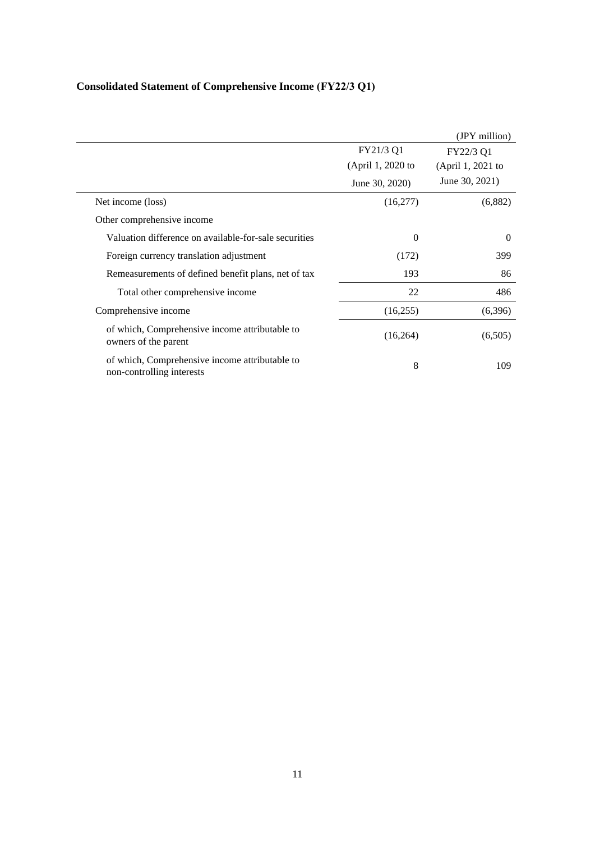|                                                                             |                   | (JPY million)     |
|-----------------------------------------------------------------------------|-------------------|-------------------|
|                                                                             | FY21/3 Q1         | FY22/3 Q1         |
|                                                                             | (April 1, 2020 to | (April 1, 2021 to |
|                                                                             | June 30, 2020)    | June 30, 2021)    |
| Net income (loss)                                                           | (16,277)          | (6,882)           |
| Other comprehensive income                                                  |                   |                   |
| Valuation difference on available-for-sale securities                       | $\Omega$          | $\Omega$          |
| Foreign currency translation adjustment                                     | (172)             | 399               |
| Remeasurements of defined benefit plans, net of tax                         | 193               | 86                |
| Total other comprehensive income                                            | 22                | 486               |
| Comprehensive income                                                        | (16,255)          | (6,396)           |
| of which, Comprehensive income attributable to<br>owners of the parent      | (16,264)          | (6,505)           |
| of which, Comprehensive income attributable to<br>non-controlling interests | 8                 | 109               |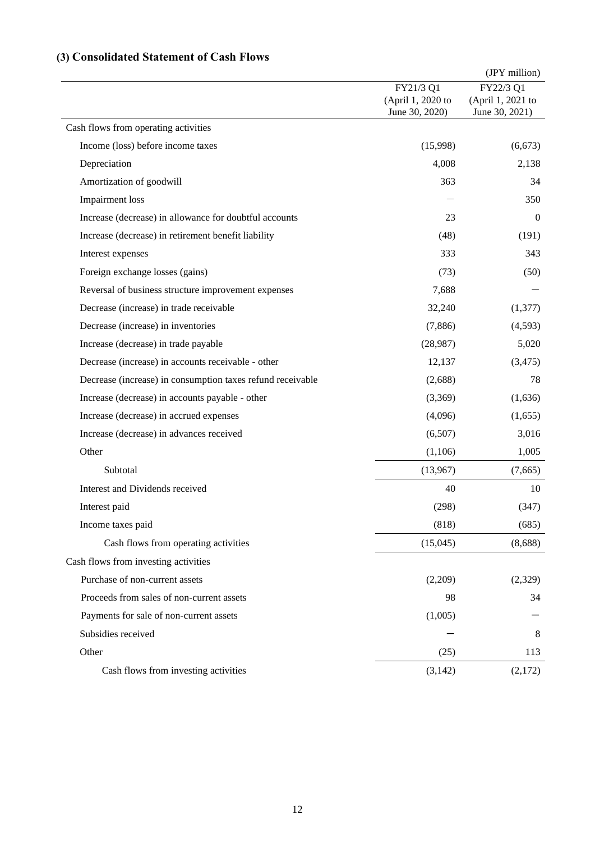# **(3) Consolidated Statement of Cash Flows**

|                                                            |                   | (JPY million)     |
|------------------------------------------------------------|-------------------|-------------------|
|                                                            | FY21/3 Q1         | FY22/3 Q1         |
|                                                            | (April 1, 2020 to | (April 1, 2021 to |
|                                                            | June 30, 2020)    | June 30, 2021)    |
| Cash flows from operating activities                       |                   |                   |
| Income (loss) before income taxes                          | (15,998)          | (6, 673)          |
| Depreciation                                               | 4,008             | 2,138             |
| Amortization of goodwill                                   | 363               | 34                |
| Impairment loss                                            |                   | 350               |
| Increase (decrease) in allowance for doubtful accounts     | 23                | $\theta$          |
| Increase (decrease) in retirement benefit liability        | (48)              | (191)             |
| Interest expenses                                          | 333               | 343               |
| Foreign exchange losses (gains)                            | (73)              | (50)              |
| Reversal of business structure improvement expenses        | 7,688             |                   |
| Decrease (increase) in trade receivable                    | 32,240            | (1,377)           |
| Decrease (increase) in inventories                         | (7,886)           | (4,593)           |
| Increase (decrease) in trade payable                       | (28,987)          | 5,020             |
| Decrease (increase) in accounts receivable - other         | 12,137            | (3, 475)          |
| Decrease (increase) in consumption taxes refund receivable | (2,688)           | 78                |
| Increase (decrease) in accounts payable - other            | (3,369)           | (1,636)           |
| Increase (decrease) in accrued expenses                    | (4,096)           | (1,655)           |
| Increase (decrease) in advances received                   | (6,507)           | 3,016             |
| Other                                                      | (1,106)           | 1,005             |
| Subtotal                                                   | (13,967)          | (7,665)           |
| Interest and Dividends received                            | 40                | 10                |
| Interest paid                                              | (298)             | (347)             |
| Income taxes paid                                          | (818)             | (685)             |
| Cash flows from operating activities                       | (15,045)          | (8,688)           |
| Cash flows from investing activities                       |                   |                   |
| Purchase of non-current assets                             | (2,209)           | (2,329)           |
| Proceeds from sales of non-current assets                  | 98                | 34                |
| Payments for sale of non-current assets                    | (1,005)           |                   |
| Subsidies received                                         |                   | 8                 |
| Other                                                      | (25)              | 113               |
| Cash flows from investing activities                       | (3, 142)          | (2,172)           |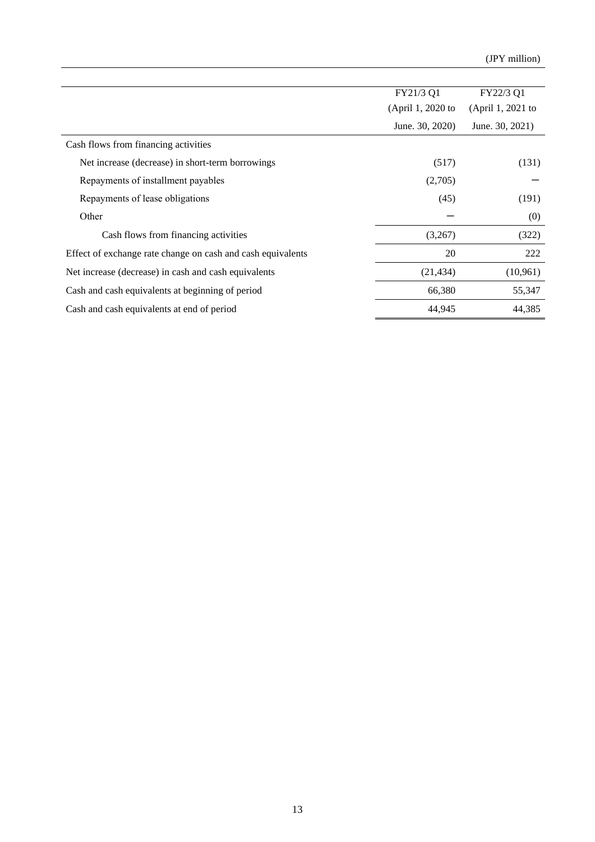|                                                             | FY21/3 Q1         | FY22/3 Q1         |
|-------------------------------------------------------------|-------------------|-------------------|
|                                                             | (April 1, 2020 to | (April 1, 2021 to |
|                                                             | June. 30, 2020)   | June. 30, 2021)   |
| Cash flows from financing activities                        |                   |                   |
| Net increase (decrease) in short-term borrowings            | (517)             | (131)             |
| Repayments of installment payables                          | (2,705)           |                   |
| Repayments of lease obligations                             | (45)              | (191)             |
| Other                                                       |                   | (0)               |
| Cash flows from financing activities                        | (3,267)           | (322)             |
| Effect of exchange rate change on cash and cash equivalents | 20                | 222               |
| Net increase (decrease) in cash and cash equivalents        | (21, 434)         | (10,961)          |
| Cash and cash equivalents at beginning of period            | 66,380            | 55,347            |
| Cash and cash equivalents at end of period                  | 44,945            | 44,385            |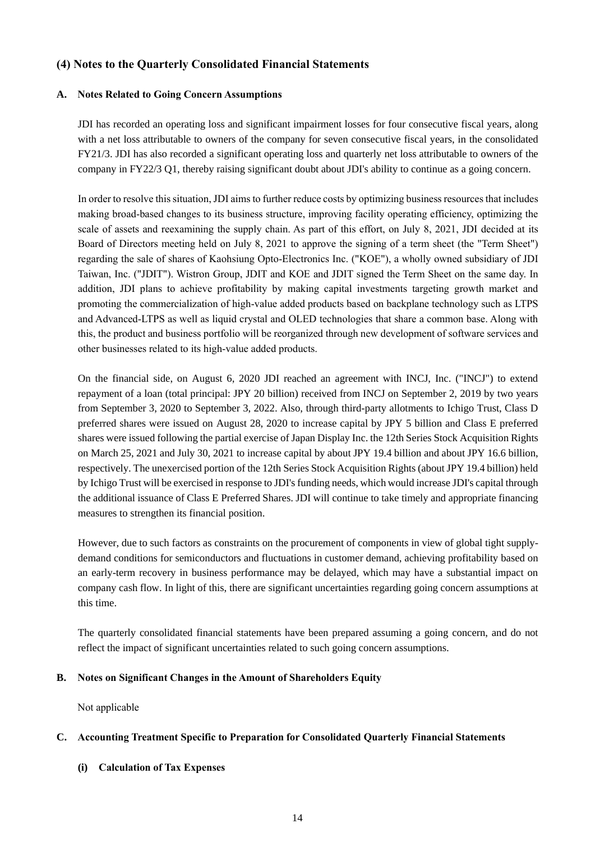# **(4) Notes to the Quarterly Consolidated Financial Statements**

#### **A. Notes Related to Going Concern Assumptions**

JDI has recorded an operating loss and significant impairment losses for four consecutive fiscal years, along with a net loss attributable to owners of the company for seven consecutive fiscal years, in the consolidated FY21/3. JDI has also recorded a significant operating loss and quarterly net loss attributable to owners of the company in FY22/3 Q1, thereby raising significant doubt about JDI's ability to continue as a going concern.

In order to resolve this situation, JDI aims to further reduce costs by optimizing business resources that includes making broad-based changes to its business structure, improving facility operating efficiency, optimizing the scale of assets and reexamining the supply chain. As part of this effort, on July 8, 2021, JDI decided at its Board of Directors meeting held on July 8, 2021 to approve the signing of a term sheet (the "Term Sheet") regarding the sale of shares of Kaohsiung Opto-Electronics Inc. ("KOE"), a wholly owned subsidiary of JDI Taiwan, Inc. ("JDIT"). Wistron Group, JDIT and KOE and JDIT signed the Term Sheet on the same day. In addition, JDI plans to achieve profitability by making capital investments targeting growth market and promoting the commercialization of high-value added products based on backplane technology such as LTPS and Advanced-LTPS as well as liquid crystal and OLED technologies that share a common base. Along with this, the product and business portfolio will be reorganized through new development of software services and other businesses related to its high-value added products.

On the financial side, on August 6, 2020 JDI reached an agreement with INCJ, Inc. ("INCJ") to extend repayment of a loan (total principal: JPY 20 billion) received from INCJ on September 2, 2019 by two years from September 3, 2020 to September 3, 2022. Also, through third-party allotments to Ichigo Trust, Class D preferred shares were issued on August 28, 2020 to increase capital by JPY 5 billion and Class E preferred shares were issued following the partial exercise of Japan Display Inc. the 12th Series Stock Acquisition Rights on March 25, 2021 and July 30, 2021 to increase capital by about JPY 19.4 billion and about JPY 16.6 billion, respectively. The unexercised portion of the 12th Series Stock Acquisition Rights (about JPY 19.4 billion) held by Ichigo Trust will be exercised in response to JDI's funding needs, which would increase JDI's capital through the additional issuance of Class E Preferred Shares. JDI will continue to take timely and appropriate financing measures to strengthen its financial position.

However, due to such factors as constraints on the procurement of components in view of global tight supplydemand conditions for semiconductors and fluctuations in customer demand, achieving profitability based on an early-term recovery in business performance may be delayed, which may have a substantial impact on company cash flow. In light of this, there are significant uncertainties regarding going concern assumptions at this time.

The quarterly consolidated financial statements have been prepared assuming a going concern, and do not reflect the impact of significant uncertainties related to such going concern assumptions.

#### **B. Notes on Significant Changes in the Amount of Shareholders Equity**

Not applicable

#### **C. Accounting Treatment Specific to Preparation for Consolidated Quarterly Financial Statements**

# **(i) Calculation of Tax Expenses**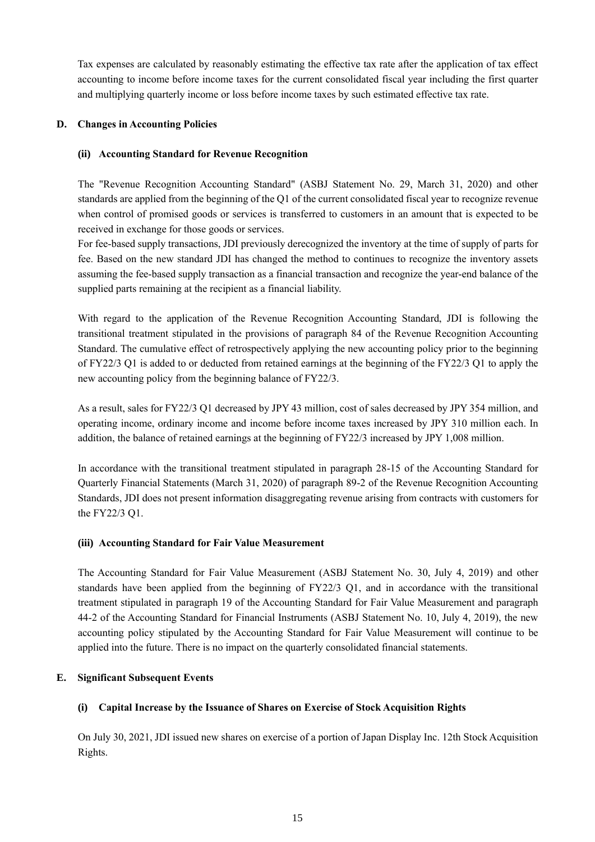Tax expenses are calculated by reasonably estimating the effective tax rate after the application of tax effect accounting to income before income taxes for the current consolidated fiscal year including the first quarter and multiplying quarterly income or loss before income taxes by such estimated effective tax rate.

## **D. Changes in Accounting Policies**

## **(ii) Accounting Standard for Revenue Recognition**

The "Revenue Recognition Accounting Standard" (ASBJ Statement No. 29, March 31, 2020) and other standards are applied from the beginning of the Q1 of the current consolidated fiscal year to recognize revenue when control of promised goods or services is transferred to customers in an amount that is expected to be received in exchange for those goods or services.

For fee-based supply transactions, JDI previously derecognized the inventory at the time of supply of parts for fee. Based on the new standard JDI has changed the method to continues to recognize the inventory assets assuming the fee-based supply transaction as a financial transaction and recognize the year-end balance of the supplied parts remaining at the recipient as a financial liability.

With regard to the application of the Revenue Recognition Accounting Standard, JDI is following the transitional treatment stipulated in the provisions of paragraph 84 of the Revenue Recognition Accounting Standard. The cumulative effect of retrospectively applying the new accounting policy prior to the beginning of FY22/3 Q1 is added to or deducted from retained earnings at the beginning of the FY22/3 Q1 to apply the new accounting policy from the beginning balance of FY22/3.

As a result, sales for FY22/3 Q1 decreased by JPY 43 million, cost of sales decreased by JPY 354 million, and operating income, ordinary income and income before income taxes increased by JPY 310 million each. In addition, the balance of retained earnings at the beginning of FY22/3 increased by JPY 1,008 million.

In accordance with the transitional treatment stipulated in paragraph 28-15 of the Accounting Standard for Quarterly Financial Statements (March 31, 2020) of paragraph 89-2 of the Revenue Recognition Accounting Standards, JDI does not present information disaggregating revenue arising from contracts with customers for the FY22/3 Q1.

#### **(iii) Accounting Standard for Fair Value Measurement**

The Accounting Standard for Fair Value Measurement (ASBJ Statement No. 30, July 4, 2019) and other standards have been applied from the beginning of FY22/3 Q1, and in accordance with the transitional treatment stipulated in paragraph 19 of the Accounting Standard for Fair Value Measurement and paragraph 44-2 of the Accounting Standard for Financial Instruments (ASBJ Statement No. 10, July 4, 2019), the new accounting policy stipulated by the Accounting Standard for Fair Value Measurement will continue to be applied into the future. There is no impact on the quarterly consolidated financial statements.

# **E. Significant Subsequent Events**

# **(i) Capital Increase by the Issuance of Shares on Exercise of Stock Acquisition Rights**

On July 30, 2021, JDI issued new shares on exercise of a portion of Japan Display Inc. 12th Stock Acquisition Rights.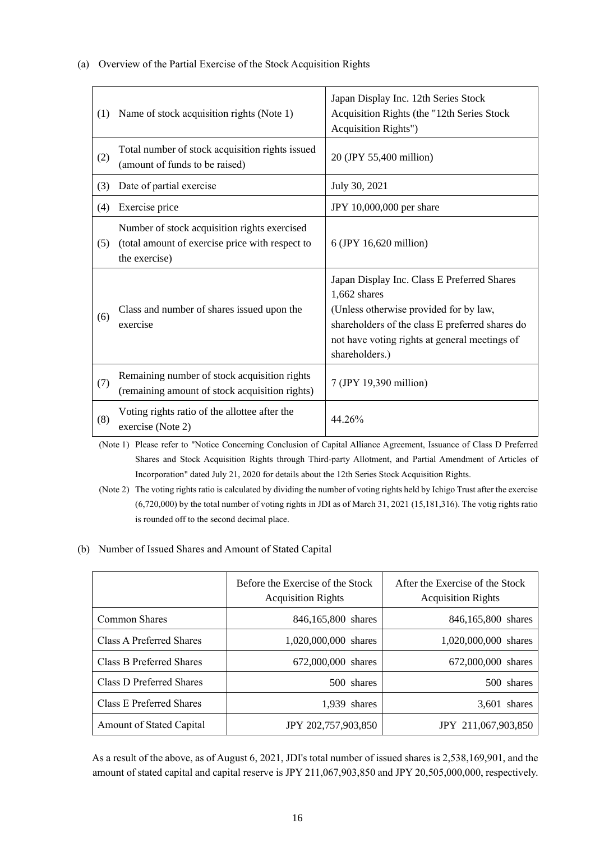(a) Overview of the Partial Exercise of the Stock Acquisition Rights

| (1) | Name of stock acquisition rights (Note 1)                                                                        | Japan Display Inc. 12th Series Stock<br>Acquisition Rights (the "12th Series Stock<br>Acquisition Rights")                                                                                                                    |
|-----|------------------------------------------------------------------------------------------------------------------|-------------------------------------------------------------------------------------------------------------------------------------------------------------------------------------------------------------------------------|
| (2) | Total number of stock acquisition rights issued<br>(amount of funds to be raised)                                | 20 (JPY 55,400 million)                                                                                                                                                                                                       |
| (3) | Date of partial exercise                                                                                         | July 30, 2021                                                                                                                                                                                                                 |
| (4) | Exercise price                                                                                                   | JPY 10,000,000 per share                                                                                                                                                                                                      |
| (5) | Number of stock acquisition rights exercised<br>(total amount of exercise price with respect to<br>the exercise) | 6 (JPY 16,620 million)                                                                                                                                                                                                        |
| (6) | Class and number of shares issued upon the<br>exercise                                                           | Japan Display Inc. Class E Preferred Shares<br>$1,662$ shares<br>(Unless otherwise provided for by law,<br>shareholders of the class E preferred shares do<br>not have voting rights at general meetings of<br>shareholders.) |
| (7) | Remaining number of stock acquisition rights<br>(remaining amount of stock acquisition rights)                   | 7 (JPY 19,390 million)                                                                                                                                                                                                        |
| (8) | Voting rights ratio of the allottee after the<br>exercise (Note 2)                                               | 44.26%                                                                                                                                                                                                                        |

(Note 1) Please refer to "Notice Concerning Conclusion of Capital Alliance Agreement, Issuance of Class D Preferred Shares and Stock Acquisition Rights through Third-party Allotment, and Partial Amendment of Articles of Incorporation" dated July 21, 2020 for details about the 12th Series Stock Acquisition Rights.

(Note 2) The voting rights ratio is calculated by dividing the number of voting rights held by Ichigo Trust after the exercise (6,720,000) by the total number of voting rights in JDI as of March 31, 2021 (15,181,316). The votig rights ratio is rounded off to the second decimal place.

#### (b) Number of Issued Shares and Amount of Stated Capital

|                                 | Before the Exercise of the Stock<br><b>Acquisition Rights</b> | After the Exercise of the Stock<br><b>Acquisition Rights</b> |
|---------------------------------|---------------------------------------------------------------|--------------------------------------------------------------|
| Common Shares                   | 846,165,800 shares                                            | 846,165,800 shares                                           |
| Class A Preferred Shares        | 1,020,000,000 shares                                          | 1,020,000,000 shares                                         |
| Class B Preferred Shares        | 672,000,000 shares                                            | 672,000,000 shares                                           |
| Class D Preferred Shares        | 500 shares                                                    | 500 shares                                                   |
| Class E Preferred Shares        | $1.939$ shares                                                | $3.601$ shares                                               |
| <b>Amount of Stated Capital</b> | JPY 202,757,903,850                                           | JPY 211,067,903,850                                          |

As a result of the above, as of August 6, 2021, JDI's total number of issued shares is 2,538,169,901, and the amount of stated capital and capital reserve is JPY 211,067,903,850 and JPY 20,505,000,000, respectively.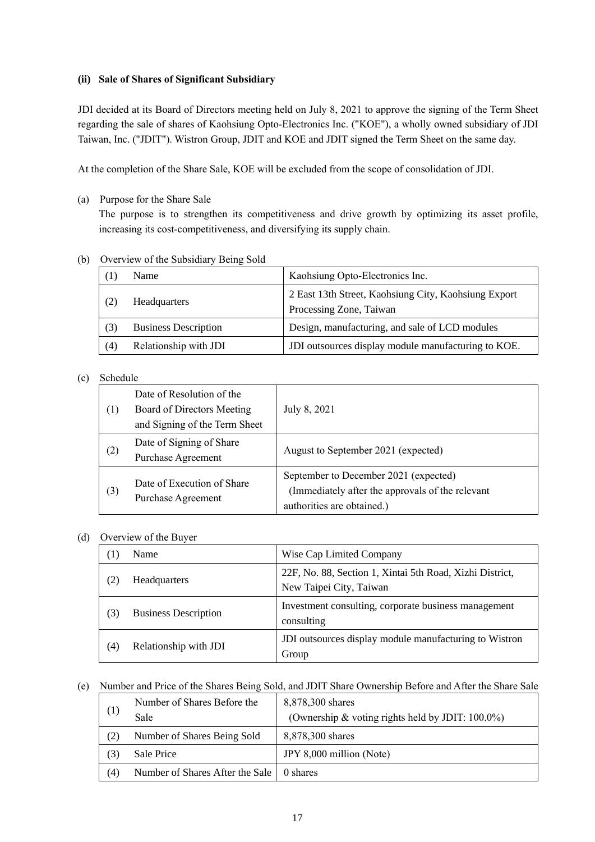## **(ii) Sale of Shares of Significant Subsidiary**

JDI decided at its Board of Directors meeting held on July 8, 2021 to approve the signing of the Term Sheet regarding the sale of shares of Kaohsiung Opto-Electronics Inc. ("KOE"), a wholly owned subsidiary of JDI Taiwan, Inc. ("JDIT"). Wistron Group, JDIT and KOE and JDIT signed the Term Sheet on the same day.

At the completion of the Share Sale, KOE will be excluded from the scope of consolidation of JDI.

(a) Purpose for the Share Sale

The purpose is to strengthen its competitiveness and drive growth by optimizing its asset profile, increasing its cost-competitiveness, and diversifying its supply chain.

(b) Overview of the Subsidiary Being Sold

|     | <b>Name</b>                 | Kaohsiung Opto-Electronics Inc.                                                 |
|-----|-----------------------------|---------------------------------------------------------------------------------|
|     | <b>Headquarters</b>         | 2 East 13th Street, Kaohsiung City, Kaohsiung Export<br>Processing Zone, Taiwan |
| (3) | <b>Business Description</b> | Design, manufacturing, and sale of LCD modules                                  |
| (4) | Relationship with JDI       | JDI outsources display module manufacturing to KOE.                             |

## (c) Schedule

| $\left(1\right)$ | Date of Resolution of the<br>Board of Directors Meeting<br>and Signing of the Term Sheet | July 8, 2021                                                                                                            |
|------------------|------------------------------------------------------------------------------------------|-------------------------------------------------------------------------------------------------------------------------|
| (2)              | Date of Signing of Share<br>Purchase Agreement                                           | August to September 2021 (expected)                                                                                     |
| (3)              | Date of Execution of Share<br><b>Purchase Agreement</b>                                  | September to December 2021 (expected)<br>(Immediately after the approvals of the relevant<br>authorities are obtained.) |

#### (d) Overview of the Buyer

| $\perp$ | Name                        | Wise Cap Limited Company                                                            |
|---------|-----------------------------|-------------------------------------------------------------------------------------|
|         | Headquarters                | 22F, No. 88, Section 1, Xintai 5th Road, Xizhi District,<br>New Taipei City, Taiwan |
| (3)     | <b>Business Description</b> | Investment consulting, corporate business management<br>consulting                  |
| (4)     | Relationship with JDI       | JDI outsources display module manufacturing to Wistron<br>Group                     |

(e) Number and Price of the Shares Being Sold, and JDIT Share Ownership Before and After the Share Sale

| (1)                 | Number of Shares Before the     | 8,878,300 shares                                     |
|---------------------|---------------------------------|------------------------------------------------------|
|                     | Sale                            | (Ownership & voting rights held by JDIT: $100.0\%$ ) |
| (2)                 | Number of Shares Being Sold     | 8,878,300 shares                                     |
| (3)                 | Sale Price                      | JPY 8,000 million (Note)                             |
| $\scriptstyle{(4)}$ | Number of Shares After the Sale | 0 shares                                             |